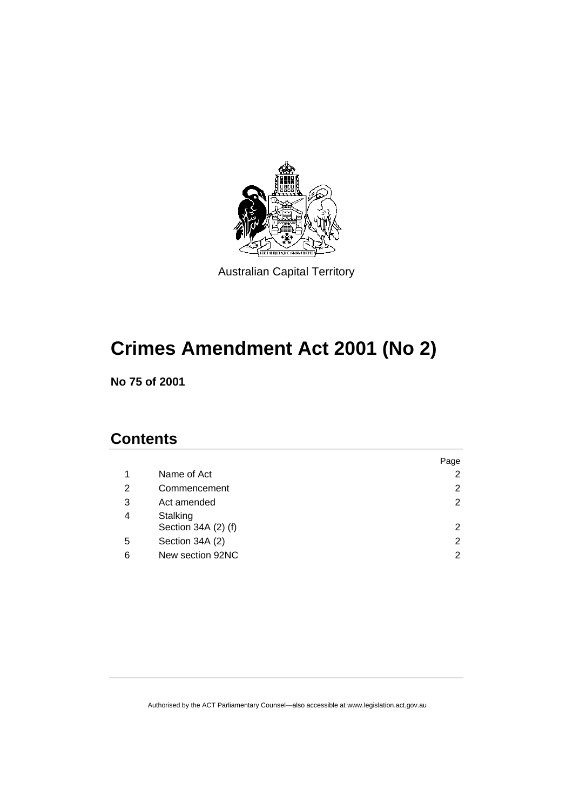

Australian Capital Territory

# **Crimes Amendment Act 2001 (No 2)**

**No 75 of 2001** 

## **Contents**

|                                 | Page           |
|---------------------------------|----------------|
| Name of Act                     | 2              |
| Commencement                    | 2              |
| Act amended                     | $\overline{2}$ |
| Stalking<br>Section 34A (2) (f) | 2              |
| Section 34A (2)                 | $\overline{2}$ |
| New section 92NC                | 2              |
|                                 |                |

Authorised by the ACT Parliamentary Counsel—also accessible at www.legislation.act.gov.au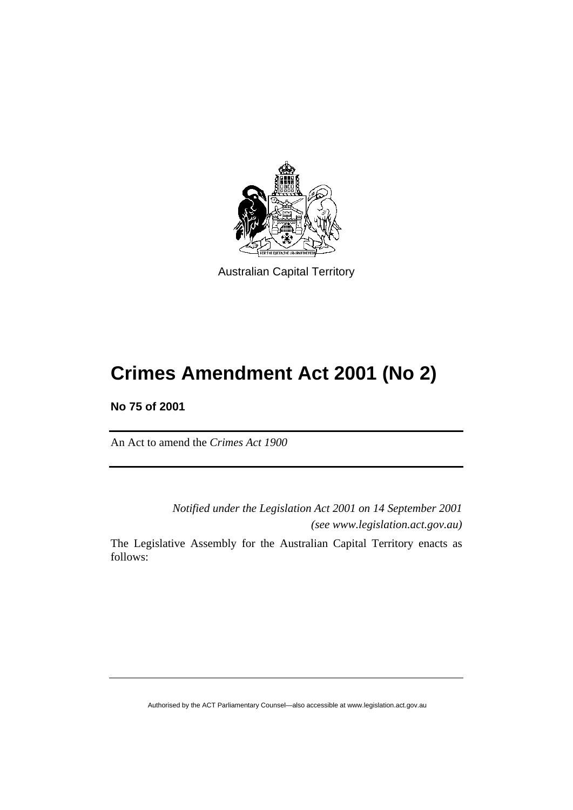

Australian Capital Territory

# **Crimes Amendment Act 2001 (No 2)**

**No 75 of 2001** 

An Act to amend the *Crimes Act 1900*

*Notified under the Legislation Act 2001 on 14 September 2001 (see www.legislation.act.gov.au)* The Legislative Assembly for the Australian Capital Territory enacts as follows:

Authorised by the ACT Parliamentary Counsel—also accessible at www.legislation.act.gov.au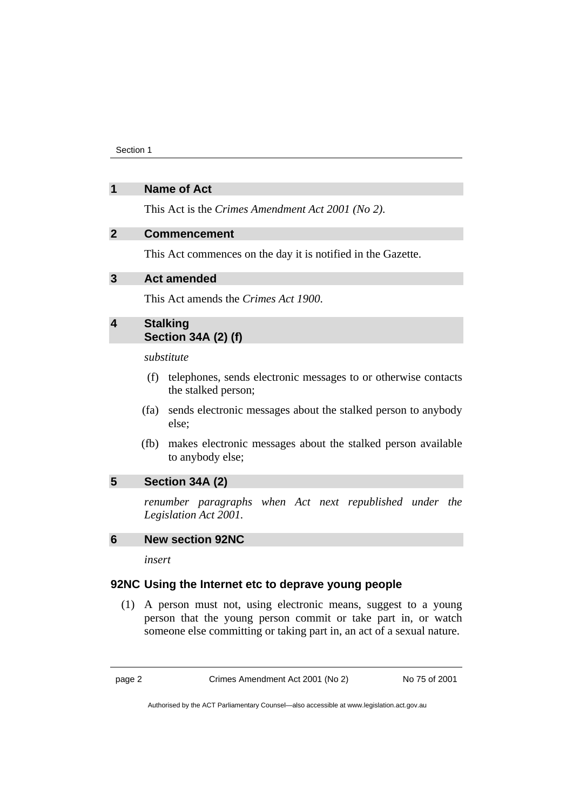Section 1

#### **1 Name of Act**

This Act is the *Crimes Amendment Act 2001 (No 2)*.

#### **2 Commencement**

This Act commences on the day it is notified in the Gazette.

#### **3 Act amended**

This Act amends the *Crimes Act 1900*.

### **4 Stalking Section 34A (2) (f)**

*substitute* 

- (f) telephones, sends electronic messages to or otherwise contacts the stalked person;
- (fa) sends electronic messages about the stalked person to anybody else;
- (fb) makes electronic messages about the stalked person available to anybody else;

#### **5 Section 34A (2)**

*renumber paragraphs when Act next republished under the Legislation Act 2001.* 

#### **6 New section 92NC**

*insert* 

#### **92NC Using the Internet etc to deprave young people**

 (1) A person must not, using electronic means, suggest to a young person that the young person commit or take part in, or watch someone else committing or taking part in, an act of a sexual nature.

page 2 Crimes Amendment Act 2001 (No 2) No 75 of 2001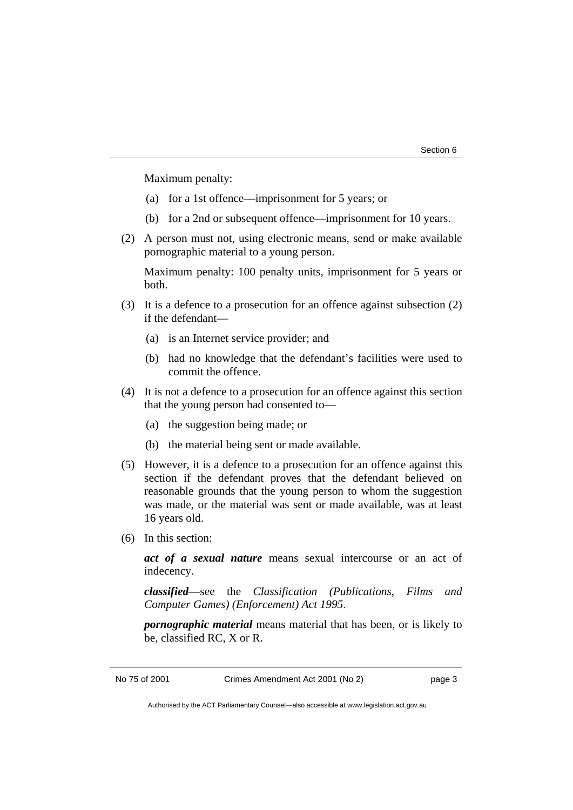Maximum penalty:

- (a) for a 1st offence—imprisonment for 5 years; or
- (b) for a 2nd or subsequent offence—imprisonment for 10 years.
- (2) A person must not, using electronic means, send or make available pornographic material to a young person.

Maximum penalty: 100 penalty units, imprisonment for 5 years or both.

- (3) It is a defence to a prosecution for an offence against subsection (2) if the defendant—
	- (a) is an Internet service provider; and
	- (b) had no knowledge that the defendant's facilities were used to commit the offence.
- (4) It is not a defence to a prosecution for an offence against this section that the young person had consented to—
	- (a) the suggestion being made; or
	- (b) the material being sent or made available.
- (5) However, it is a defence to a prosecution for an offence against this section if the defendant proves that the defendant believed on reasonable grounds that the young person to whom the suggestion was made, or the material was sent or made available, was at least 16 years old.
- (6) In this section:

*act of a sexual nature* means sexual intercourse or an act of indecency.

*classified*—see the *Classification (Publications, Films and Computer Games) (Enforcement) Act 1995*.

*pornographic material* means material that has been, or is likely to be, classified RC, X or R.